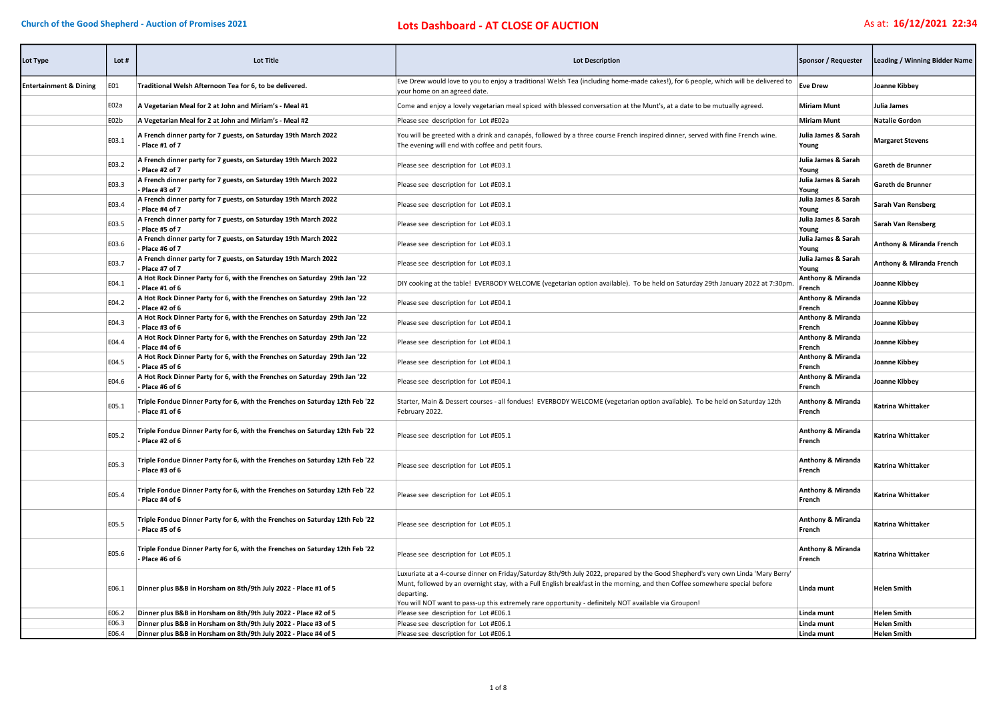| Lot Type                          | Lot $#$ | <b>Lot Title</b>                                                                                | <b>Lot Description</b>                                                                                                                                                                                                                                                                                                                                                                | Sponsor / Requester                    | Leading / Winning Bidder Name |
|-----------------------------------|---------|-------------------------------------------------------------------------------------------------|---------------------------------------------------------------------------------------------------------------------------------------------------------------------------------------------------------------------------------------------------------------------------------------------------------------------------------------------------------------------------------------|----------------------------------------|-------------------------------|
| <b>Entertainment &amp; Dining</b> | E01     | Traditional Welsh Afternoon Tea for 6, to be delivered.                                         | Eve Drew would love to you to enjoy a traditional Welsh Tea (including home-made cakes!), for 6 people, which will be delivered to<br>your home on an agreed date.                                                                                                                                                                                                                    | <b>Eve Drew</b>                        | Joanne Kibbey                 |
|                                   | E02a    | A Vegetarian Meal for 2 at John and Miriam's - Meal #1                                          | Come and enjoy a lovely vegetarian meal spiced with blessed conversation at the Munt's, at a date to be mutually agreed.                                                                                                                                                                                                                                                              | <b>Miriam Munt</b>                     | Julia James                   |
|                                   | E02b    | A Vegetarian Meal for 2 at John and Miriam's - Meal #2                                          | Please see description for Lot #E02a                                                                                                                                                                                                                                                                                                                                                  | <b>Miriam Munt</b>                     | <b>Natalie Gordon</b>         |
|                                   | E03.1   | A French dinner party for 7 guests, on Saturday 19th March 2022<br>Place #1 of 7                | You will be greeted with a drink and canapés, followed by a three course French inspired dinner, served with fine French wine.<br>The evening will end with coffee and petit fours.                                                                                                                                                                                                   | Julia James & Sarah<br>Young           | <b>Margaret Stevens</b>       |
|                                   | E03.2   | A French dinner party for 7 guests, on Saturday 19th March 2022<br>- Place #2 of 7              | Please see description for Lot #E03.1                                                                                                                                                                                                                                                                                                                                                 | Julia James & Sarah<br>Young           | Gareth de Brunner             |
|                                   | E03.3   | A French dinner party for 7 guests, on Saturday 19th March 2022<br>- Place #3 of 7              | Please see description for Lot #E03.1                                                                                                                                                                                                                                                                                                                                                 | Julia James & Sarah<br>Young           | Gareth de Brunner             |
|                                   | E03.4   | A French dinner party for 7 guests, on Saturday 19th March 2022<br>- Place #4 of 7              | Please see description for Lot #E03.1                                                                                                                                                                                                                                                                                                                                                 | Julia James & Sarah<br>Young           | Sarah Van Rensberg            |
|                                   | E03.5   | A French dinner party for 7 guests, on Saturday 19th March 2022<br>- Place #5 of 7              | Please see description for Lot #E03.1                                                                                                                                                                                                                                                                                                                                                 | Julia James & Sarah<br>Young           | Sarah Van Rensberg            |
|                                   | E03.6   | A French dinner party for 7 guests, on Saturday 19th March 2022<br>- Place #6 of 7              | Please see description for Lot #E03.1                                                                                                                                                                                                                                                                                                                                                 | Julia James & Sarah<br>Young           | Anthony & Miranda French      |
|                                   | E03.7   | A French dinner party for 7 guests, on Saturday 19th March 2022<br>- Place #7 of 7              | Please see description for Lot #E03.1                                                                                                                                                                                                                                                                                                                                                 | Julia James & Sarah<br>Young           | Anthony & Miranda French      |
|                                   | E04.1   | A Hot Rock Dinner Party for 6, with the Frenches on Saturday 29th Jan '22<br>- Place #1 of 6    | DIY cooking at the table! EVERBODY WELCOME (vegetarian option available). To be held on Saturday 29th January 2022 at 7:30pm                                                                                                                                                                                                                                                          | <b>Anthony &amp; Miranda</b><br>French | Joanne Kibbey                 |
|                                   | E04.2   | A Hot Rock Dinner Party for 6, with the Frenches on Saturday 29th Jan '22<br>- Place #2 of 6    | Please see description for Lot #E04.1                                                                                                                                                                                                                                                                                                                                                 | <b>Anthony &amp; Miranda</b><br>French | Joanne Kibbey                 |
|                                   | E04.3   | A Hot Rock Dinner Party for 6, with the Frenches on Saturday 29th Jan '22<br>- Place #3 of 6    | Please see description for Lot #E04.1                                                                                                                                                                                                                                                                                                                                                 | <b>Anthony &amp; Miranda</b><br>French | Joanne Kibbey                 |
|                                   | E04.4   | A Hot Rock Dinner Party for 6, with the Frenches on Saturday 29th Jan '22<br>Place #4 of 6      | Please see description for Lot #E04.1                                                                                                                                                                                                                                                                                                                                                 | <b>Anthony &amp; Miranda</b><br>French | Joanne Kibbey                 |
|                                   | E04.5   | A Hot Rock Dinner Party for 6, with the Frenches on Saturday 29th Jan '22<br>- Place #5 of 6    | Please see description for Lot #E04.1                                                                                                                                                                                                                                                                                                                                                 | <b>Anthony &amp; Miranda</b><br>French | Joanne Kibbey                 |
|                                   | E04.6   | A Hot Rock Dinner Party for 6, with the Frenches on Saturday 29th Jan '22<br>Place #6 of 6      | Please see description for Lot #E04.1                                                                                                                                                                                                                                                                                                                                                 | <b>Anthony &amp; Miranda</b><br>French | Joanne Kibbey                 |
|                                   | E05.1   | Triple Fondue Dinner Party for 6, with the Frenches on Saturday 12th Feb '22<br>Place #1 of 6   | Starter, Main & Dessert courses - all fondues! EVERBODY WELCOME (vegetarian option available). To be held on Saturday 12th<br>February 2022.                                                                                                                                                                                                                                          | <b>Anthony &amp; Miranda</b><br>French | Katrina Whittaker             |
|                                   | E05.2   | Triple Fondue Dinner Party for 6, with the Frenches on Saturday 12th Feb '22<br>- Place #2 of 6 | Please see description for Lot #E05.1                                                                                                                                                                                                                                                                                                                                                 | Anthony & Miranda<br>French            | Katrina Whittaker             |
|                                   | E05.3   | Triple Fondue Dinner Party for 6, with the Frenches on Saturday 12th Feb '22<br>Place #3 of 6   | Please see description for Lot #E05.1                                                                                                                                                                                                                                                                                                                                                 | <b>Anthony &amp; Miranda</b><br>French | Katrina Whittaker             |
|                                   | E05.4   | Triple Fondue Dinner Party for 6, with the Frenches on Saturday 12th Feb '22<br>Place #4 of 6   | Please see description for Lot #E05.1                                                                                                                                                                                                                                                                                                                                                 | <b>Anthony &amp; Miranda</b><br>French | Katrina Whittaker             |
|                                   | E05.5   | Triple Fondue Dinner Party for 6, with the Frenches on Saturday 12th Feb '22<br>Place #5 of 6   | Please see description for Lot #E05.1                                                                                                                                                                                                                                                                                                                                                 | Anthony & Miranda<br>French            | Katrina Whittaker             |
|                                   | E05.6   | Triple Fondue Dinner Party for 6, with the Frenches on Saturday 12th Feb '22<br>Place #6 of 6   | Please see description for Lot #E05.1                                                                                                                                                                                                                                                                                                                                                 | <b>Anthony &amp; Miranda</b><br>French | Katrina Whittaker             |
|                                   | E06.1   | Dinner plus B&B in Horsham on 8th/9th July 2022 - Place #1 of 5                                 | Luxuriate at a 4-course dinner on Friday/Saturday 8th/9th July 2022, prepared by the Good Shepherd's very own Linda 'Mary Berry'<br>Munt, followed by an overnight stay, with a Full English breakfast in the morning, and then Coffee somewhere special before<br>departing.<br>You will NOT want to pass-up this extremely rare opportunity - definitely NOT available via Groupon! | Linda munt                             | <b>Helen Smith</b>            |
|                                   | E06.2   | Dinner plus B&B in Horsham on 8th/9th July 2022 - Place #2 of 5                                 | Please see description for Lot #E06.1                                                                                                                                                                                                                                                                                                                                                 | Linda munt                             | <b>Helen Smith</b>            |
|                                   | E06.3   | Dinner plus B&B in Horsham on 8th/9th July 2022 - Place #3 of 5                                 | Please see description for Lot #E06.1                                                                                                                                                                                                                                                                                                                                                 | Linda munt                             | <b>Helen Smith</b>            |
|                                   | E06.4   | Dinner plus B&B in Horsham on 8th/9th July 2022 - Place #4 of 5                                 | Please see description for Lot #E06.1                                                                                                                                                                                                                                                                                                                                                 | Linda munt                             | <b>Helen Smith</b>            |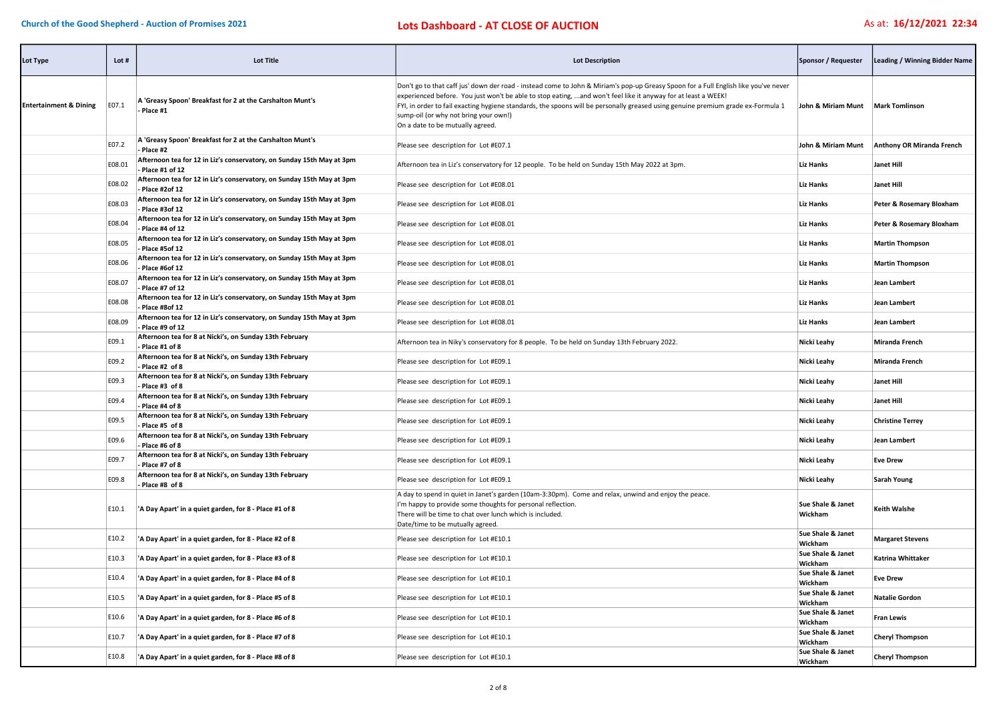| Lot Type                          | Lot #  | <b>Lot Title</b>                                                                          | <b>Lot Description</b>                                                                                                                                                                                                                                                                                                                                                                                                                                                | Sponsor / Requester               | <b>Leading / Winning Bidder Name</b> |
|-----------------------------------|--------|-------------------------------------------------------------------------------------------|-----------------------------------------------------------------------------------------------------------------------------------------------------------------------------------------------------------------------------------------------------------------------------------------------------------------------------------------------------------------------------------------------------------------------------------------------------------------------|-----------------------------------|--------------------------------------|
| <b>Entertainment &amp; Dining</b> | E07.1  | A 'Greasy Spoon' Breakfast for 2 at the Carshalton Munt's<br>Place #1                     | Don't go to that caff jus' down der road - instead come to John & Miriam's pop-up Greasy Spoon for a Full English like you've never<br>experienced before. You just won't be able to stop eating, and won't feel like it anyway for at least a WEEK!<br>FYI, in order to fail exacting hygiene standards, the spoons will be personally greased using genuine premium grade ex-Formula 1<br>sump-oil (or why not bring your own!)<br>On a date to be mutually agreed. | John & Miriam Munt Mark Tomlinson |                                      |
|                                   | E07.2  | A 'Greasy Spoon' Breakfast for 2 at the Carshalton Munt's<br>Place #2                     | Please see description for Lot #E07.1                                                                                                                                                                                                                                                                                                                                                                                                                                 | John & Miriam Munt                | Anthony OR Miranda French            |
|                                   | E08.01 | Afternoon tea for 12 in Liz's conservatory, on Sunday 15th May at 3pm<br>Place #1 of 12   | Afternoon tea in Liz's conservatory for 12 people. To be held on Sunday 15th May 2022 at 3pm.                                                                                                                                                                                                                                                                                                                                                                         | <b>Liz Hanks</b>                  | <b>Janet Hill</b>                    |
|                                   | E08.02 | Afternoon tea for 12 in Liz's conservatory, on Sunday 15th May at 3pm<br>- Place #2of 12  | Please see description for Lot #E08.01                                                                                                                                                                                                                                                                                                                                                                                                                                | <b>Liz Hanks</b>                  | <b>Janet Hill</b>                    |
|                                   | E08.03 | Afternoon tea for 12 in Liz's conservatory, on Sunday 15th May at 3pm<br>Place #3of 12    | Please see description for Lot #E08.01                                                                                                                                                                                                                                                                                                                                                                                                                                | Liz Hanks                         | Peter & Rosemary Bloxham             |
|                                   | E08.04 | Afternoon tea for 12 in Liz's conservatory, on Sunday 15th May at 3pm<br>- Place #4 of 12 | Please see description for Lot #E08.01                                                                                                                                                                                                                                                                                                                                                                                                                                | <b>Liz Hanks</b>                  | Peter & Rosemary Bloxham             |
|                                   | E08.05 | Afternoon tea for 12 in Liz's conservatory, on Sunday 15th May at 3pm<br>- Place #5of 12  | Please see description for Lot #E08.01                                                                                                                                                                                                                                                                                                                                                                                                                                | <b>Liz Hanks</b>                  | <b>Martin Thompson</b>               |
|                                   | E08.06 | Afternoon tea for 12 in Liz's conservatory, on Sunday 15th May at 3pm<br>- Place #6of 12  | Please see description for Lot #E08.01                                                                                                                                                                                                                                                                                                                                                                                                                                | <b>Liz Hanks</b>                  | <b>Martin Thompson</b>               |
|                                   | E08.07 | Afternoon tea for 12 in Liz's conservatory, on Sunday 15th May at 3pm<br>- Place #7 of 12 | Please see description for Lot #E08.01                                                                                                                                                                                                                                                                                                                                                                                                                                | Liz Hanks                         | Jean Lambert                         |
|                                   | E08.08 | Afternoon tea for 12 in Liz's conservatory, on Sunday 15th May at 3pm<br>Place #8of 12    | Please see description for Lot #E08.01                                                                                                                                                                                                                                                                                                                                                                                                                                | <b>Liz Hanks</b>                  | Jean Lambert                         |
|                                   | E08.09 | Afternoon tea for 12 in Liz's conservatory, on Sunday 15th May at 3pm<br>Place #9 of 12   | Please see description for Lot #E08.01                                                                                                                                                                                                                                                                                                                                                                                                                                | <b>Liz Hanks</b>                  | Jean Lambert                         |
|                                   | E09.1  | Afternoon tea for 8 at Nicki's, on Sunday 13th February<br>- Place #1 of 8                | Afternoon tea in Niky's conservatory for 8 people. To be held on Sunday 13th February 2022.                                                                                                                                                                                                                                                                                                                                                                           | Nicki Leahy                       | <b>Miranda French</b>                |
|                                   | E09.2  | Afternoon tea for 8 at Nicki's, on Sunday 13th February<br>- Place #2 of 8                | Please see description for Lot #E09.1                                                                                                                                                                                                                                                                                                                                                                                                                                 | Nicki Leahy                       | <b>Miranda French</b>                |
|                                   | E09.3  | Afternoon tea for 8 at Nicki's, on Sunday 13th February<br>Place #3 of 8                  | Please see description for Lot #E09.1                                                                                                                                                                                                                                                                                                                                                                                                                                 | Nicki Leahy                       | <b>Janet Hill</b>                    |
|                                   | E09.4  | Afternoon tea for 8 at Nicki's, on Sunday 13th February<br>- Place #4 of 8                | Please see description for Lot #E09.1                                                                                                                                                                                                                                                                                                                                                                                                                                 | Nicki Leahy                       | <b>Janet Hill</b>                    |
|                                   | E09.5  | Afternoon tea for 8 at Nicki's, on Sunday 13th February<br>- Place #5 of 8                | Please see description for Lot #E09.1                                                                                                                                                                                                                                                                                                                                                                                                                                 | Nicki Leahy                       | <b>Christine Terrey</b>              |
|                                   | E09.6  | Afternoon tea for 8 at Nicki's, on Sunday 13th February<br>Place #6 of 8                  | Please see description for Lot #E09.1                                                                                                                                                                                                                                                                                                                                                                                                                                 | Nicki Leahy                       | Jean Lambert                         |
|                                   | E09.7  | Afternoon tea for 8 at Nicki's, on Sunday 13th February<br>- Place #7 of 8                | Please see description for Lot #E09.1                                                                                                                                                                                                                                                                                                                                                                                                                                 | Nicki Leahy                       | <b>Eve Drew</b>                      |
|                                   | E09.8  | Afternoon tea for 8 at Nicki's, on Sunday 13th February<br>Place #8 of 8                  | Please see description for Lot #E09.1                                                                                                                                                                                                                                                                                                                                                                                                                                 | Nicki Leahy                       | Sarah Young                          |
|                                   | E10.1  | 'A Day Apart' in a quiet garden, for 8 - Place #1 of 8                                    | A day to spend in quiet in Janet's garden (10am-3:30pm). Come and relax, unwind and enjoy the peace.<br>I'm happy to provide some thoughts for personal reflection.<br>There will be time to chat over lunch which is included.<br>Date/time to be mutually agreed.                                                                                                                                                                                                   | Sue Shale & Janet<br>Wickham      | <b>Keith Walshe</b>                  |
|                                   | E10.2  | 'A Day Apart' in a quiet garden, for 8 - Place #2 of 8                                    | Please see description for Lot #E10.1                                                                                                                                                                                                                                                                                                                                                                                                                                 | Sue Shale & Janet<br>Wickham      | <b>Margaret Stevens</b>              |
|                                   | E10.3  | 'A Day Apart' in a quiet garden, for 8 - Place #3 of 8                                    | Please see description for Lot #E10.1                                                                                                                                                                                                                                                                                                                                                                                                                                 | Sue Shale & Janet<br>Wickham      | Katrina Whittaker                    |
|                                   | E10.4  | 'A Day Apart' in a quiet garden, for 8 - Place #4 of 8                                    | Please see description for Lot #E10.1                                                                                                                                                                                                                                                                                                                                                                                                                                 | Sue Shale & Janet<br>Wickham      | <b>Eve Drew</b>                      |
|                                   | E10.5  | 'A Day Apart' in a quiet garden, for 8 - Place #5 of 8                                    | Please see description for Lot #E10.1                                                                                                                                                                                                                                                                                                                                                                                                                                 | Sue Shale & Janet<br>Wickham      | <b>Natalie Gordon</b>                |
|                                   | E10.6  | 'A Day Apart' in a quiet garden, for 8 - Place #6 of 8                                    | Please see description for Lot #E10.1                                                                                                                                                                                                                                                                                                                                                                                                                                 | Sue Shale & Janet<br>Wickham      | <b>Fran Lewis</b>                    |
|                                   | E10.7  | 'A Day Apart' in a quiet garden, for 8 - Place #7 of 8                                    | Please see description for Lot #E10.1                                                                                                                                                                                                                                                                                                                                                                                                                                 | Sue Shale & Janet<br>Wickham      | <b>Cheryl Thompson</b>               |
|                                   | E10.8  | 'A Day Apart' in a quiet garden, for 8 - Place #8 of 8                                    | Please see description for Lot #E10.1                                                                                                                                                                                                                                                                                                                                                                                                                                 | Sue Shale & Janet<br>Wickham      | <b>Cheryl Thompson</b>               |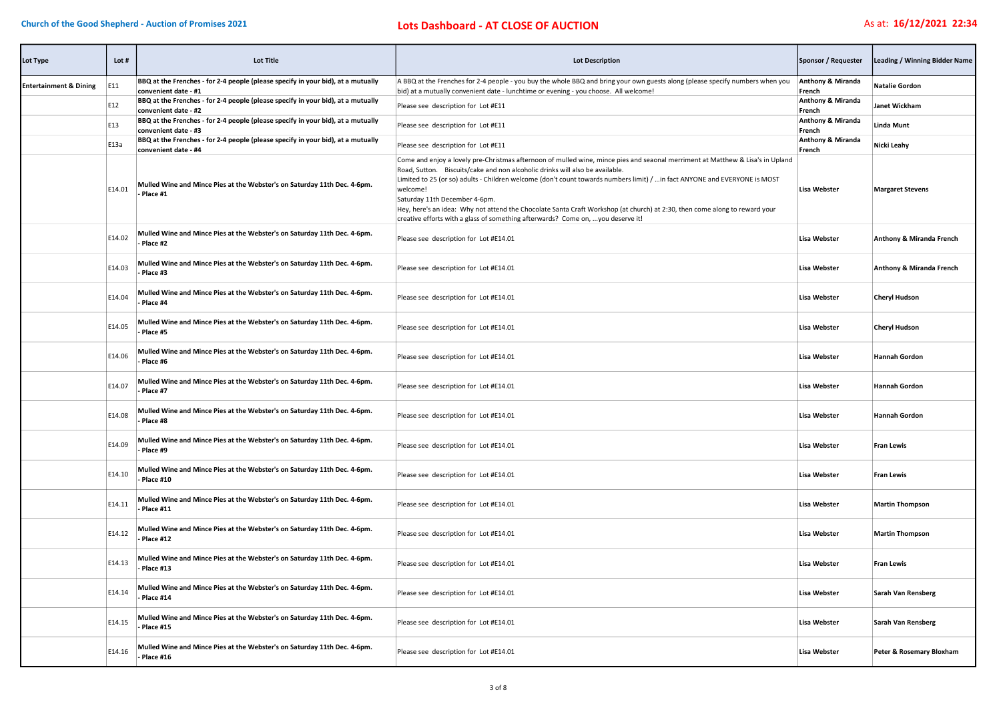## Church of the Good Shepherd - Auction of Promises 2021 **Lots Dashboard - AT CLOSE OF AUCTION** As at: 16/12/2021 22:34

| Lot Type                          | Lot#   | <b>Lot Title</b>                                                                                         | <b>Lot Description</b>                                                                                                                                                                                                                                                                                                                                                                                                                                                                                                                                                                                     | Sponsor / Requester                    | Leading / Winning Bidder Name |
|-----------------------------------|--------|----------------------------------------------------------------------------------------------------------|------------------------------------------------------------------------------------------------------------------------------------------------------------------------------------------------------------------------------------------------------------------------------------------------------------------------------------------------------------------------------------------------------------------------------------------------------------------------------------------------------------------------------------------------------------------------------------------------------------|----------------------------------------|-------------------------------|
| <b>Entertainment &amp; Dining</b> | E11    | BBQ at the Frenches - for 2-4 people (please specify in your bid), at a mutually<br>convenient date - #1 | A BBQ at the Frenches for 2-4 people - you buy the whole BBQ and bring your own guests along (please specify numbers when you<br>bid) at a mutually convenient date - lunchtime or evening - you choose. All welcome!                                                                                                                                                                                                                                                                                                                                                                                      | <b>Anthony &amp; Miranda</b><br>French | <b>Natalie Gordon</b>         |
|                                   | E12    | BBQ at the Frenches - for 2-4 people (please specify in your bid), at a mutually<br>convenient date - #2 | Please see description for Lot #E11                                                                                                                                                                                                                                                                                                                                                                                                                                                                                                                                                                        | <b>Anthony &amp; Miranda</b><br>French | Janet Wickham                 |
|                                   | E13    | BBQ at the Frenches - for 2-4 people (please specify in your bid), at a mutually<br>convenient date - #3 | Please see description for Lot #E11                                                                                                                                                                                                                                                                                                                                                                                                                                                                                                                                                                        | Anthony & Miranda<br>French            | <b>Linda Munt</b>             |
|                                   | E13a   | BBQ at the Frenches - for 2-4 people (please specify in your bid), at a mutually<br>convenient date - #4 | Please see description for Lot #E11                                                                                                                                                                                                                                                                                                                                                                                                                                                                                                                                                                        | Anthony & Miranda<br>French            | Nicki Leahy                   |
|                                   | E14.01 | Mulled Wine and Mince Pies at the Webster's on Saturday 11th Dec. 4-6pm.<br>Place #1                     | Come and enjoy a lovely pre-Christmas afternoon of mulled wine, mince pies and seaonal merriment at Matthew & Lisa's in Upland<br>Road, Sutton. Biscuits/cake and non alcoholic drinks will also be available.<br>Limited to 25 (or so) adults - Children welcome (don't count towards numbers limit) /  in fact ANYONE and EVERYONE is MOST<br>welcome!<br>Saturday 11th December 4-6pm.<br>Hey, here's an idea: Why not attend the Chocolate Santa Craft Workshop (at church) at 2:30, then come along to reward your<br>creative efforts with a glass of something afterwards? Come on, you deserve it! | <b>Lisa Webster</b>                    | <b>Margaret Stevens</b>       |
|                                   | E14.02 | Mulled Wine and Mince Pies at the Webster's on Saturday 11th Dec. 4-6pm.<br>Place #2                     | Please see description for Lot #E14.01                                                                                                                                                                                                                                                                                                                                                                                                                                                                                                                                                                     | <b>Lisa Webster</b>                    | Anthony & Miranda French      |
|                                   | E14.03 | Mulled Wine and Mince Pies at the Webster's on Saturday 11th Dec. 4-6pm.<br>Place #3                     | Please see description for Lot #E14.01                                                                                                                                                                                                                                                                                                                                                                                                                                                                                                                                                                     | <b>Lisa Webster</b>                    | Anthony & Miranda French      |
|                                   | E14.04 | Mulled Wine and Mince Pies at the Webster's on Saturday 11th Dec. 4-6pm.<br>Place #4                     | Please see description for Lot #E14.01                                                                                                                                                                                                                                                                                                                                                                                                                                                                                                                                                                     | <b>Lisa Webster</b>                    | <b>Cheryl Hudson</b>          |
|                                   | E14.05 | Mulled Wine and Mince Pies at the Webster's on Saturday 11th Dec. 4-6pm.<br>Place #5                     | Please see description for Lot #E14.01                                                                                                                                                                                                                                                                                                                                                                                                                                                                                                                                                                     | <b>Lisa Webster</b>                    | <b>Cheryl Hudson</b>          |
|                                   | E14.06 | Mulled Wine and Mince Pies at the Webster's on Saturday 11th Dec. 4-6pm.<br>Place #6                     | Please see description for Lot #E14.01                                                                                                                                                                                                                                                                                                                                                                                                                                                                                                                                                                     | <b>Lisa Webster</b>                    | <b>Hannah Gordon</b>          |
|                                   | E14.07 | Mulled Wine and Mince Pies at the Webster's on Saturday 11th Dec. 4-6pm.<br>Place #7                     | Please see description for Lot #E14.01                                                                                                                                                                                                                                                                                                                                                                                                                                                                                                                                                                     | <b>Lisa Webster</b>                    | <b>Hannah Gordon</b>          |
|                                   | E14.08 | Mulled Wine and Mince Pies at the Webster's on Saturday 11th Dec. 4-6pm.<br>Place #8                     | Please see description for Lot #E14.01                                                                                                                                                                                                                                                                                                                                                                                                                                                                                                                                                                     | <b>Lisa Webster</b>                    | <b>Hannah Gordon</b>          |
|                                   | E14.09 | Mulled Wine and Mince Pies at the Webster's on Saturday 11th Dec. 4-6pm.<br>Place #9                     | Please see description for Lot #E14.01                                                                                                                                                                                                                                                                                                                                                                                                                                                                                                                                                                     | <b>Lisa Webster</b>                    | <b>Fran Lewis</b>             |
|                                   | E14.10 | Mulled Wine and Mince Pies at the Webster's on Saturday 11th Dec. 4-6pm.<br>Place #10                    | Please see description for Lot #E14.01                                                                                                                                                                                                                                                                                                                                                                                                                                                                                                                                                                     | Lisa Webster                           | <b>Fran Lewis</b>             |
|                                   | E14.11 | Mulled Wine and Mince Pies at the Webster's on Saturday 11th Dec. 4-6pm.<br>Place #11                    | Please see description for Lot #E14.01                                                                                                                                                                                                                                                                                                                                                                                                                                                                                                                                                                     | Lisa Webster                           | <b>Martin Thompson</b>        |
|                                   | E14.12 | Mulled Wine and Mince Pies at the Webster's on Saturday 11th Dec. 4-6pm.<br>Place #12                    | Please see description for Lot #E14.01                                                                                                                                                                                                                                                                                                                                                                                                                                                                                                                                                                     | <b>Lisa Webster</b>                    | <b>Martin Thompson</b>        |
|                                   | E14.13 | Mulled Wine and Mince Pies at the Webster's on Saturday 11th Dec. 4-6pm.<br>Place #13                    | Please see description for Lot #E14.01                                                                                                                                                                                                                                                                                                                                                                                                                                                                                                                                                                     | Lisa Webster                           | <b>Fran Lewis</b>             |
|                                   | E14.14 | Mulled Wine and Mince Pies at the Webster's on Saturday 11th Dec. 4-6pm.<br>Place #14                    | Please see description for Lot #E14.01                                                                                                                                                                                                                                                                                                                                                                                                                                                                                                                                                                     | <b>Lisa Webster</b>                    | Sarah Van Rensberg            |
|                                   | E14.15 | Mulled Wine and Mince Pies at the Webster's on Saturday 11th Dec. 4-6pm.<br>Place #15                    | Please see description for Lot #E14.01                                                                                                                                                                                                                                                                                                                                                                                                                                                                                                                                                                     | <b>Lisa Webster</b>                    | Sarah Van Rensberg            |
|                                   | E14.16 | Mulled Wine and Mince Pies at the Webster's on Saturday 11th Dec. 4-6pm.<br>Place #16                    | Please see description for Lot #E14.01                                                                                                                                                                                                                                                                                                                                                                                                                                                                                                                                                                     | <b>Lisa Webster</b>                    | Peter & Rosemary Bloxham      |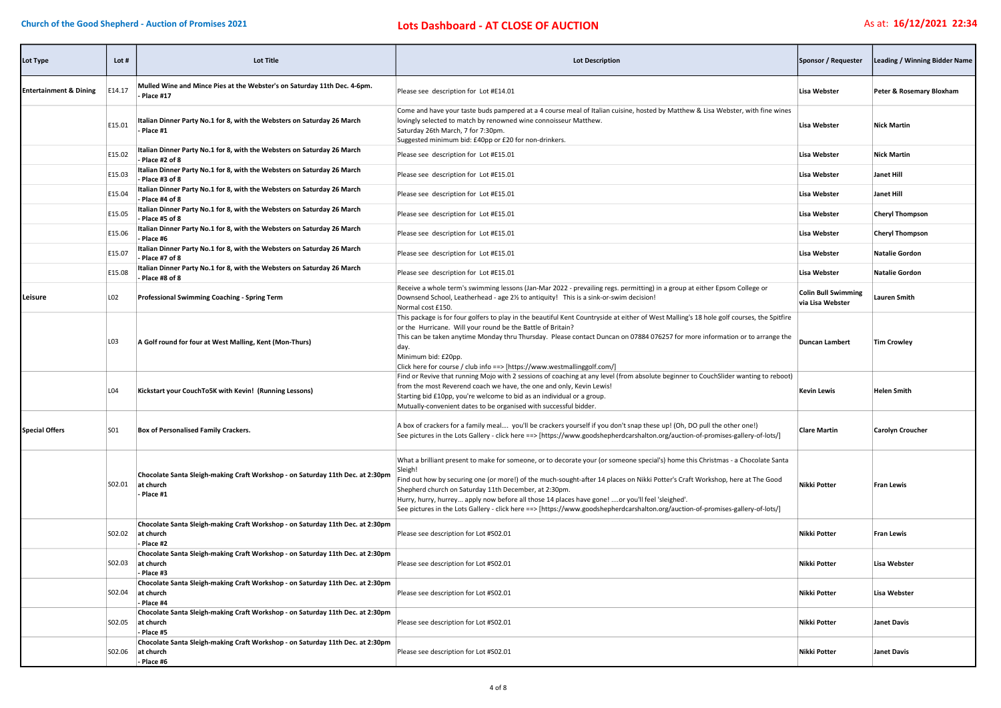| Lot Type                          | Lot #  | <b>Lot Title</b>                                                                                                 | <b>Lot Description</b>                                                                                                                                                                                                                                                                                                                                                                                                                                                                                                                                                      | Sponsor / Requester                            | Leading / Winning Bidder Name |
|-----------------------------------|--------|------------------------------------------------------------------------------------------------------------------|-----------------------------------------------------------------------------------------------------------------------------------------------------------------------------------------------------------------------------------------------------------------------------------------------------------------------------------------------------------------------------------------------------------------------------------------------------------------------------------------------------------------------------------------------------------------------------|------------------------------------------------|-------------------------------|
| <b>Entertainment &amp; Dining</b> | E14.17 | Mulled Wine and Mince Pies at the Webster's on Saturday 11th Dec. 4-6pm.<br>Place #17                            | Please see description for Lot #E14.01                                                                                                                                                                                                                                                                                                                                                                                                                                                                                                                                      | <b>Lisa Webster</b>                            | Peter & Rosemary Bloxham      |
|                                   | E15.01 | Italian Dinner Party No.1 for 8, with the Websters on Saturday 26 March<br>Place #1                              | Come and have your taste buds pampered at a 4 course meal of Italian cuisine, hosted by Matthew & Lisa Webster, with fine wines<br>lovingly selected to match by renowned wine connoisseur Matthew.<br>Saturday 26th March, 7 for 7:30pm.<br>Suggested minimum bid: £40pp or £20 for non-drinkers.                                                                                                                                                                                                                                                                          | <b>Lisa Webster</b>                            | <b>Nick Martin</b>            |
|                                   | E15.02 | Italian Dinner Party No.1 for 8, with the Websters on Saturday 26 March<br>- Place #2 of 8                       | Please see description for Lot #E15.01                                                                                                                                                                                                                                                                                                                                                                                                                                                                                                                                      | <b>Lisa Webster</b>                            | <b>Nick Martin</b>            |
|                                   | E15.03 | Italian Dinner Party No.1 for 8, with the Websters on Saturday 26 March<br>- Place #3 of 8                       | Please see description for Lot #E15.01                                                                                                                                                                                                                                                                                                                                                                                                                                                                                                                                      | Lisa Webster                                   | Janet Hill                    |
|                                   | E15.04 | Italian Dinner Party No.1 for 8, with the Websters on Saturday 26 March<br>- Place #4 of 8                       | Please see description for Lot #E15.01                                                                                                                                                                                                                                                                                                                                                                                                                                                                                                                                      | <b>Lisa Webster</b>                            | <b>Janet Hill</b>             |
|                                   | E15.05 | Italian Dinner Party No.1 for 8, with the Websters on Saturday 26 March<br>Place #5 of 8                         | Please see description for Lot #E15.01                                                                                                                                                                                                                                                                                                                                                                                                                                                                                                                                      | <b>Lisa Webster</b>                            | <b>Cheryl Thompson</b>        |
|                                   | E15.06 | Italian Dinner Party No.1 for 8, with the Websters on Saturday 26 March<br>- Place #6                            | Please see description for Lot #E15.01                                                                                                                                                                                                                                                                                                                                                                                                                                                                                                                                      | Lisa Webster                                   | <b>Cheryl Thompson</b>        |
|                                   | E15.07 | Italian Dinner Party No.1 for 8, with the Websters on Saturday 26 March<br>- Place #7 of 8                       | Please see description for Lot #E15.01                                                                                                                                                                                                                                                                                                                                                                                                                                                                                                                                      | <b>Lisa Webster</b>                            | <b>Natalie Gordon</b>         |
|                                   | E15.08 | Italian Dinner Party No.1 for 8, with the Websters on Saturday 26 March<br>- Place #8 of 8                       | Please see description for Lot #E15.01                                                                                                                                                                                                                                                                                                                                                                                                                                                                                                                                      | <b>Lisa Webster</b>                            | <b>Natalie Gordon</b>         |
| Leisure                           | L02    | Professional Swimming Coaching - Spring Term                                                                     | Receive a whole term's swimming lessons (Jan-Mar 2022 - prevailing regs. permitting) in a group at either Epsom College or<br>Downsend School, Leatherhead - age 2½ to antiquity! This is a sink-or-swim decision!<br>Normal cost £150.                                                                                                                                                                                                                                                                                                                                     | <b>Colin Bull Swimming</b><br>via Lisa Webster | Lauren Smith                  |
|                                   | LO3    | A Golf round for four at West Malling, Kent (Mon-Thurs)                                                          | This package is for four golfers to play in the beautiful Kent Countryside at either of West Malling's 18 hole golf courses, the Spitfire<br>or the Hurricane. Will your round be the Battle of Britain?<br>This can be taken anytime Monday thru Thursday. Please contact Duncan on 07884 076257 for more information or to arrange the<br>day.<br>Minimum bid: £20pp.<br>Click here for course / club info ==> [https://www.westmallinggolf.com/]                                                                                                                         | <b>Duncan Lambert</b>                          | <b>Tim Crowley</b>            |
|                                   | L04    | Kickstart your CouchTo5K with Kevin! (Running Lessons)                                                           | Find or Revive that running Mojo with 2 sessions of coaching at any level (from absolute beginner to CouchSlider wanting to reboot)<br>from the most Reverend coach we have, the one and only, Kevin Lewis!<br>Starting bid £10pp, you're welcome to bid as an individual or a group.<br>Mutually-convenient dates to be organised with successful bidder.                                                                                                                                                                                                                  | <b>Kevin Lewis</b>                             | <b>Helen Smith</b>            |
| <b>Special Offers</b>             | S01    | Box of Personalised Family Crackers.                                                                             | A box of crackers for a family meal you'll be crackers yourself if you don't snap these up! (Oh, DO pull the other one!)<br>See pictures in the Lots Gallery - click here ==> [https://www.goodshepherdcarshalton.org/auction-of-promises-gallery-of-lots/]                                                                                                                                                                                                                                                                                                                 | <b>Clare Martin</b>                            | Carolyn Croucher              |
|                                   | S02.01 | Chocolate Santa Sleigh-making Craft Workshop - on Saturday 11th Dec. at 2:30pm<br>at church<br>- Place #1        | What a brilliant present to make for someone, or to decorate your (or someone special's) home this Christmas - a Chocolate Santa<br>Sleigh!<br>Find out how by securing one (or more!) of the much-sought-after 14 places on Nikki Potter's Craft Workshop, here at The Good<br>Shepherd church on Saturday 11th December, at 2:30pm.<br>Hurry, hurry, hurrey apply now before all those 14 places have gone! or you'll feel 'sleighed'.<br>See pictures in the Lots Gallery - click here ==> [https://www.goodshepherdcarshalton.org/auction-of-promises-gallery-of-lots/] | <b>Nikki Potter</b>                            | <b>Fran Lewis</b>             |
|                                   | S02.02 | Chocolate Santa Sleigh-making Craft Workshop - on Saturday 11th Dec. at 2:30pm<br>at church<br>- Place #2        | Please see description for Lot #S02.01                                                                                                                                                                                                                                                                                                                                                                                                                                                                                                                                      | Nikki Potter                                   | <b>Fran Lewis</b>             |
|                                   |        | Chocolate Santa Sleigh-making Craft Workshop - on Saturday 11th Dec. at 2:30pm<br>S02.03 at church<br>- Place #3 | Please see description for Lot #S02.01                                                                                                                                                                                                                                                                                                                                                                                                                                                                                                                                      | Nikki Potter                                   | <b>Lisa Webster</b>           |
|                                   |        | Chocolate Santa Sleigh-making Craft Workshop - on Saturday 11th Dec. at 2:30pm<br>S02.04 at church<br>- Place #4 | Please see description for Lot #S02.01                                                                                                                                                                                                                                                                                                                                                                                                                                                                                                                                      | Nikki Potter                                   | <b>Lisa Webster</b>           |
|                                   |        | Chocolate Santa Sleigh-making Craft Workshop - on Saturday 11th Dec. at 2:30pm<br>S02.05 at church<br>- Place #5 | Please see description for Lot #S02.01                                                                                                                                                                                                                                                                                                                                                                                                                                                                                                                                      | Nikki Potter                                   | <b>Janet Davis</b>            |
|                                   | S02.06 | Chocolate Santa Sleigh-making Craft Workshop - on Saturday 11th Dec. at 2:30pm<br>at church<br>- Place #6        | Please see description for Lot #S02.01                                                                                                                                                                                                                                                                                                                                                                                                                                                                                                                                      | Nikki Potter                                   | <b>Janet Davis</b>            |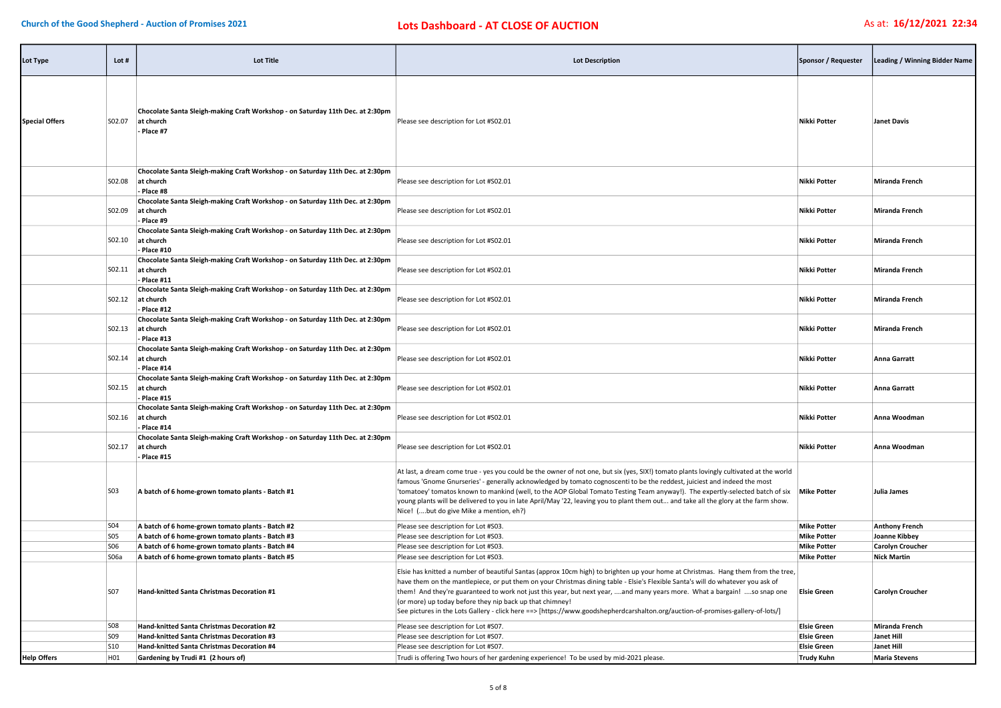| Lot Type              | Lot #           | <b>Lot Title</b>                                                                                           | <b>Lot Description</b>                                                                                                                                                                                                                                                                                                                                                                                                                                                                                                                                                                                                                  | Sponsor / Requester                      | Leading / Winning Bidder Name                 |
|-----------------------|-----------------|------------------------------------------------------------------------------------------------------------|-----------------------------------------------------------------------------------------------------------------------------------------------------------------------------------------------------------------------------------------------------------------------------------------------------------------------------------------------------------------------------------------------------------------------------------------------------------------------------------------------------------------------------------------------------------------------------------------------------------------------------------------|------------------------------------------|-----------------------------------------------|
| <b>Special Offers</b> | S02.07          | Chocolate Santa Sleigh-making Craft Workshop - on Saturday 11th Dec. at 2:30pm<br>at church<br>- Place #7  | Please see description for Lot #S02.01                                                                                                                                                                                                                                                                                                                                                                                                                                                                                                                                                                                                  | Nikki Potter                             | <b>Janet Davis</b>                            |
|                       | S02.08          | Chocolate Santa Sleigh-making Craft Workshop - on Saturday 11th Dec. at 2:30pm<br>at church<br>- Place #8  | Please see description for Lot #S02.01                                                                                                                                                                                                                                                                                                                                                                                                                                                                                                                                                                                                  | Nikki Potter                             | <b>Miranda French</b>                         |
|                       | S02.09          | Chocolate Santa Sleigh-making Craft Workshop - on Saturday 11th Dec. at 2:30pm<br>at church<br>Place #9    | Please see description for Lot #S02.01                                                                                                                                                                                                                                                                                                                                                                                                                                                                                                                                                                                                  | Nikki Potter                             | <b>Miranda French</b>                         |
|                       | S02.10          | Chocolate Santa Sleigh-making Craft Workshop - on Saturday 11th Dec. at 2:30pm<br>at church<br>- Place #10 | Please see description for Lot #S02.01                                                                                                                                                                                                                                                                                                                                                                                                                                                                                                                                                                                                  | Nikki Potter                             | <b>Miranda French</b>                         |
|                       | SO2.11          | Chocolate Santa Sleigh-making Craft Workshop - on Saturday 11th Dec. at 2:30pm<br>at church<br>Place #11   | Please see description for Lot #S02.01                                                                                                                                                                                                                                                                                                                                                                                                                                                                                                                                                                                                  | Nikki Potter                             | Miranda French                                |
|                       | SO2.12          | Chocolate Santa Sleigh-making Craft Workshop - on Saturday 11th Dec. at 2:30pm<br>at church<br>Place #12   | Please see description for Lot #S02.01                                                                                                                                                                                                                                                                                                                                                                                                                                                                                                                                                                                                  | Nikki Potter                             | <b>Miranda French</b>                         |
|                       | S02.13          | Chocolate Santa Sleigh-making Craft Workshop - on Saturday 11th Dec. at 2:30pm<br>at church<br>- Place #13 | Please see description for Lot #S02.01                                                                                                                                                                                                                                                                                                                                                                                                                                                                                                                                                                                                  | Nikki Potter                             | <b>Miranda French</b>                         |
|                       | S02.14          | Chocolate Santa Sleigh-making Craft Workshop - on Saturday 11th Dec. at 2:30pm<br>at church<br>- Place #14 | Please see description for Lot #S02.01                                                                                                                                                                                                                                                                                                                                                                                                                                                                                                                                                                                                  | Nikki Potter                             | Anna Garratt                                  |
|                       | S02.15          | Chocolate Santa Sleigh-making Craft Workshop - on Saturday 11th Dec. at 2:30pm<br>at church<br>- Place #15 | Please see description for Lot #S02.01                                                                                                                                                                                                                                                                                                                                                                                                                                                                                                                                                                                                  | Nikki Potter                             | <b>Anna Garratt</b>                           |
|                       | S02.16          | Chocolate Santa Sleigh-making Craft Workshop - on Saturday 11th Dec. at 2:30pm<br>at church<br>- Place #14 | Please see description for Lot #S02.01                                                                                                                                                                                                                                                                                                                                                                                                                                                                                                                                                                                                  | Nikki Potter                             | Anna Woodman                                  |
|                       | S02.17          | Chocolate Santa Sleigh-making Craft Workshop - on Saturday 11th Dec. at 2:30pm<br>at church<br>Place #15   | Please see description for Lot #S02.01                                                                                                                                                                                                                                                                                                                                                                                                                                                                                                                                                                                                  | <b>Nikki Potter</b>                      | Anna Woodman                                  |
|                       | S03             | A batch of 6 home-grown tomato plants - Batch #1                                                           | At last, a dream come true - yes you could be the owner of not one, but six (yes, SIX!) tomato plants lovingly cultivated at the world<br>famous 'Gnome Gnurseries' - generally acknowledged by tomato cognoscenti to be the reddest, juiciest and indeed the most<br>'tomatoey' tomatos known to mankind (well, to the AOP Global Tomato Testing Team anyway!). The expertly-selected batch of six Mike Potter<br>young plants will be delivered to you in late April/May '22, leaving you to plant them out and take all the glory at the farm show.<br>Nice! (but do give Mike a mention, eh?)                                       |                                          | Julia James                                   |
|                       | S04             | A batch of 6 home-grown tomato plants - Batch #2                                                           | Please see description for Lot #S03                                                                                                                                                                                                                                                                                                                                                                                                                                                                                                                                                                                                     | <b>Mike Potter</b>                       | <b>Anthony French</b>                         |
|                       | S05             | A batch of 6 home-grown tomato plants - Batch #3                                                           | Please see description for Lot #S03                                                                                                                                                                                                                                                                                                                                                                                                                                                                                                                                                                                                     | <b>Mike Potter</b>                       | Joanne Kibbey                                 |
|                       | S06             | A batch of 6 home-grown tomato plants - Batch #4                                                           | Please see description for Lot #S03                                                                                                                                                                                                                                                                                                                                                                                                                                                                                                                                                                                                     | <b>Mike Potter</b>                       | <b>Carolyn Croucher</b>                       |
|                       | S06a<br>S07     | A batch of 6 home-grown tomato plants - Batch #5<br>Hand-knitted Santa Christmas Decoration #1             | Please see description for Lot #S03.<br>Elsie has knitted a number of beautiful Santas (approx 10cm high) to brighten up your home at Christmas. Hang them from the tree,<br>have them on the mantlepiece, or put them on your Christmas dining table - Elsie's Flexible Santa's will do whatever you ask of<br>them! And they're guaranteed to work not just this year, but next year, and many years more. What a bargain! so snap one<br>(or more) up today before they nip back up that chimney!<br>See pictures in the Lots Gallery - click here ==> [https://www.goodshepherdcarshalton.org/auction-of-promises-gallery-of-lots/] | <b>Mike Potter</b><br><b>Elsie Green</b> | <b>Nick Martin</b><br><b>Carolyn Croucher</b> |
|                       | S <sub>08</sub> | Hand-knitted Santa Christmas Decoration #2                                                                 | Please see description for Lot #S07.                                                                                                                                                                                                                                                                                                                                                                                                                                                                                                                                                                                                    | <b>Elsie Green</b>                       | <b>Miranda French</b>                         |
|                       | S <sub>09</sub> | Hand-knitted Santa Christmas Decoration #3                                                                 | Please see description for Lot #S07                                                                                                                                                                                                                                                                                                                                                                                                                                                                                                                                                                                                     | <b>Elsie Green</b>                       | <b>Janet Hill</b>                             |
|                       | S10             | Hand-knitted Santa Christmas Decoration #4                                                                 | Please see description for Lot #S07.                                                                                                                                                                                                                                                                                                                                                                                                                                                                                                                                                                                                    | <b>Elsie Green</b>                       | <b>Janet Hill</b>                             |
| <b>Help Offers</b>    | H01             | Gardening by Trudi #1 (2 hours of)                                                                         | Trudi is offering Two hours of her gardening experience! To be used by mid-2021 please.                                                                                                                                                                                                                                                                                                                                                                                                                                                                                                                                                 | <b>Trudy Kuhn</b>                        | <b>Maria Stevens</b>                          |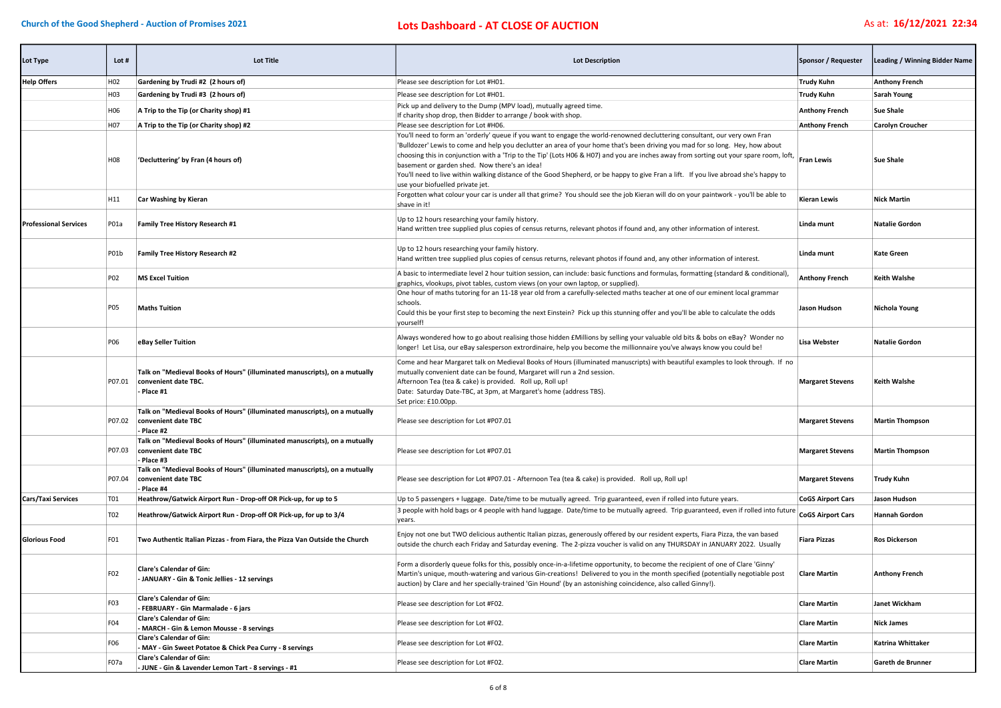## Church of the Good Shepherd - Auction of Promises 2021 **Lots Dashboard - AT CLOSE OF AUCTION** As at: 16/12/2021 22:34

| Lot Type                     | Lot #            | <b>Lot Title</b>                                                                                                 | <b>Lot Description</b>                                                                                                                                                                                                                                                                                                                                                                                                                                                                                                                                                                                                                        | Sponsor / Requester      | Leading / Winning Bidder Name |
|------------------------------|------------------|------------------------------------------------------------------------------------------------------------------|-----------------------------------------------------------------------------------------------------------------------------------------------------------------------------------------------------------------------------------------------------------------------------------------------------------------------------------------------------------------------------------------------------------------------------------------------------------------------------------------------------------------------------------------------------------------------------------------------------------------------------------------------|--------------------------|-------------------------------|
| <b>Help Offers</b>           | H <sub>02</sub>  | Gardening by Trudi #2 (2 hours of)                                                                               | Please see description for Lot #H01.                                                                                                                                                                                                                                                                                                                                                                                                                                                                                                                                                                                                          | <b>Trudy Kuhn</b>        | <b>Anthony French</b>         |
|                              | H <sub>0</sub> 3 | Gardening by Trudi #3 (2 hours of)                                                                               | Please see description for Lot #H01.                                                                                                                                                                                                                                                                                                                                                                                                                                                                                                                                                                                                          | <b>Trudy Kuhn</b>        | <b>Sarah Young</b>            |
|                              | H06              | A Trip to the Tip (or Charity shop) #1                                                                           | Pick up and delivery to the Dump (MPV load), mutually agreed time.<br>If charity shop drop, then Bidder to arrange / book with shop.                                                                                                                                                                                                                                                                                                                                                                                                                                                                                                          | <b>Anthony French</b>    | <b>Sue Shale</b>              |
|                              | H <sub>07</sub>  | A Trip to the Tip (or Charity shop) #2                                                                           | Please see description for Lot #H06.                                                                                                                                                                                                                                                                                                                                                                                                                                                                                                                                                                                                          | <b>Anthony French</b>    | Carolyn Croucher              |
|                              | H <sub>08</sub>  | 'Decluttering' by Fran (4 hours of)                                                                              | You'll need to form an 'orderly' queue if you want to engage the world-renowned decluttering consultant, our very own Fran<br>'Bulldozer' Lewis to come and help you declutter an area of your home that's been driving you mad for so long. Hey, how about<br>choosing this in conjunction with a 'Trip to the Tip' (Lots H06 & H07) and you are inches away from sorting out your spare room, loft, Fran Lewis<br>basement or garden shed. Now there's an idea!<br>You'll need to live within walking distance of the Good Shepherd, or be happy to give Fran a lift. If you live abroad she's happy to<br>use your biofuelled private jet. |                          | <b>Sue Shale</b>              |
|                              | H11              | <b>Car Washing by Kieran</b>                                                                                     | Forgotten what colour your car is under all that grime? You should see the job Kieran will do on your paintwork - you'll be able to<br>shave in it!                                                                                                                                                                                                                                                                                                                                                                                                                                                                                           | Kieran Lewis             | <b>Nick Martin</b>            |
| <b>Professional Services</b> | P01a             | Family Tree History Research #1                                                                                  | Up to 12 hours researching your family history.<br>Hand written tree supplied plus copies of census returns, relevant photos if found and, any other information of interest.                                                                                                                                                                                                                                                                                                                                                                                                                                                                 | Linda munt               | <b>Natalie Gordon</b>         |
|                              | P01b             | Family Tree History Research #2                                                                                  | Up to 12 hours researching your family history.<br>Hand written tree supplied plus copies of census returns, relevant photos if found and, any other information of interest.                                                                                                                                                                                                                                                                                                                                                                                                                                                                 | Linda munt               | <b>Kate Green</b>             |
|                              | P <sub>02</sub>  | <b>MS Excel Tuition</b>                                                                                          | A basic to intermediate level 2 hour tuition session, can include: basic functions and formulas, formatting (standard & conditional)<br>graphics, vlookups, pivot tables, custom views (on your own laptop, or supplied).                                                                                                                                                                                                                                                                                                                                                                                                                     | <b>Anthony French</b>    | Keith Walshe                  |
|                              | <b>P05</b>       | <b>Maths Tuition</b>                                                                                             | One hour of maths tutoring for an 11-18 year old from a carefully-selected maths teacher at one of our eminent local grammar<br>schools.<br>Could this be your first step to becoming the next Einstein? Pick up this stunning offer and you'll be able to calculate the odds<br>yourself!                                                                                                                                                                                                                                                                                                                                                    | Jason Hudson             | Nichola Young                 |
|                              | <b>PO6</b>       | eBay Seller Tuition                                                                                              | Always wondered how to go about realising those hidden £Millions by selling your valuable old bits & bobs on eBay? Wonder no<br>longer! Let Lisa, our eBay salesperson extrordinaire, help you become the millionnaire you've always know you could be!                                                                                                                                                                                                                                                                                                                                                                                       | Lisa Webster             | <b>Natalie Gordon</b>         |
|                              | P07.01           | Talk on "Medieval Books of Hours" (illuminated manuscripts), on a mutually<br>convenient date TBC.<br>- Place #1 | Come and hear Margaret talk on Medieval Books of Hours (illuminated manuscripts) with beautiful examples to look through. If no<br>mutually convenient date can be found, Margaret will run a 2nd session.<br>Afternoon Tea (tea & cake) is provided. Roll up, Roll up!<br>Date: Saturday Date-TBC, at 3pm, at Margaret's home (address TBS).<br>Set price: £10.00pp.                                                                                                                                                                                                                                                                         | <b>Margaret Stevens</b>  | <b>Keith Walshe</b>           |
|                              | P07.02           | Talk on "Medieval Books of Hours" (illuminated manuscripts), on a mutually<br>convenient date TBC<br>- Place #2  | Please see description for Lot #P07.01                                                                                                                                                                                                                                                                                                                                                                                                                                                                                                                                                                                                        | <b>Margaret Stevens</b>  | <b>Martin Thompson</b>        |
|                              | P07.03           | Talk on "Medieval Books of Hours" (illuminated manuscripts), on a mutually<br>convenient date TBC<br>- Place #3  | Please see description for Lot #P07.01                                                                                                                                                                                                                                                                                                                                                                                                                                                                                                                                                                                                        | <b>Margaret Stevens</b>  | <b>Martin Thompson</b>        |
|                              | P07.04           | Talk on "Medieval Books of Hours" (illuminated manuscripts), on a mutually<br>convenient date TBC<br>- Place #4  | Please see description for Lot #P07.01 - Afternoon Tea (tea & cake) is provided. Roll up, Roll up!                                                                                                                                                                                                                                                                                                                                                                                                                                                                                                                                            | <b>Margaret Stevens</b>  | <b>Trudy Kuhn</b>             |
| <b>Cars/Taxi Services</b>    | <b>T01</b>       | Heathrow/Gatwick Airport Run - Drop-off OR Pick-up, for up to 5                                                  | Up to 5 passengers + luggage. Date/time to be mutually agreed. Trip guaranteed, even if rolled into future years.                                                                                                                                                                                                                                                                                                                                                                                                                                                                                                                             | <b>CoGS Airport Cars</b> | Jason Hudson                  |
|                              | <b>T02</b>       | Heathrow/Gatwick Airport Run - Drop-off OR Pick-up, for up to 3/4                                                | 3 people with hold bags or 4 people with hand luggage. Date/time to be mutually agreed. Trip guaranteed, even if rolled into future CoGS Airport Cars<br>years.                                                                                                                                                                                                                                                                                                                                                                                                                                                                               |                          | <b>Hannah Gordon</b>          |
| <b>Glorious Food</b>         | FO1              | Two Authentic Italian Pizzas - from Fiara, the Pizza Van Outside the Church                                      | Enjoy not one but TWO delicious authentic Italian pizzas, generously offered by our resident experts, Fiara Pizza, the van based<br>outside the church each Friday and Saturday evening. The 2-pizza voucher is valid on any THURSDAY in JANUARY 2022. Usually                                                                                                                                                                                                                                                                                                                                                                                | <b>Fiara Pizzas</b>      | <b>Ros Dickerson</b>          |
|                              | F <sub>02</sub>  | <b>Clare's Calendar of Gin:</b><br>JANUARY - Gin & Tonic Jellies - 12 servings                                   | Form a disorderly queue folks for this, possibly once-in-a-lifetime opportunity, to become the recipient of one of Clare 'Ginny'<br>Martin's unique, mouth-watering and various Gin-creations! Delivered to you in the month specified (potentially negotiable post<br>auction) by Clare and her specially-trained 'Gin Hound' (by an astonishing coincidence, also called Ginny!).                                                                                                                                                                                                                                                           | <b>Clare Martin</b>      | <b>Anthony French</b>         |
|                              | F03              | <b>Clare's Calendar of Gin:</b><br>- FEBRUARY - Gin Marmalade - 6 jars                                           | Please see description for Lot #F02.                                                                                                                                                                                                                                                                                                                                                                                                                                                                                                                                                                                                          | <b>Clare Martin</b>      | Janet Wickham                 |
|                              | F04              | <b>Clare's Calendar of Gin:</b><br>- MARCH - Gin & Lemon Mousse - 8 servings                                     | Please see description for Lot #F02.                                                                                                                                                                                                                                                                                                                                                                                                                                                                                                                                                                                                          | <b>Clare Martin</b>      | <b>Nick James</b>             |
|                              | F06              | <b>Clare's Calendar of Gin:</b><br>- MAY - Gin Sweet Potatoe & Chick Pea Curry - 8 servings                      | Please see description for Lot #F02.                                                                                                                                                                                                                                                                                                                                                                                                                                                                                                                                                                                                          | <b>Clare Martin</b>      | Katrina Whittaker             |
|                              | F07a             | <b>Clare's Calendar of Gin:</b><br>- JUNE - Gin & Lavender Lemon Tart - 8 servings - #1                          | Please see description for Lot #F02.                                                                                                                                                                                                                                                                                                                                                                                                                                                                                                                                                                                                          | <b>Clare Martin</b>      | Gareth de Brunner             |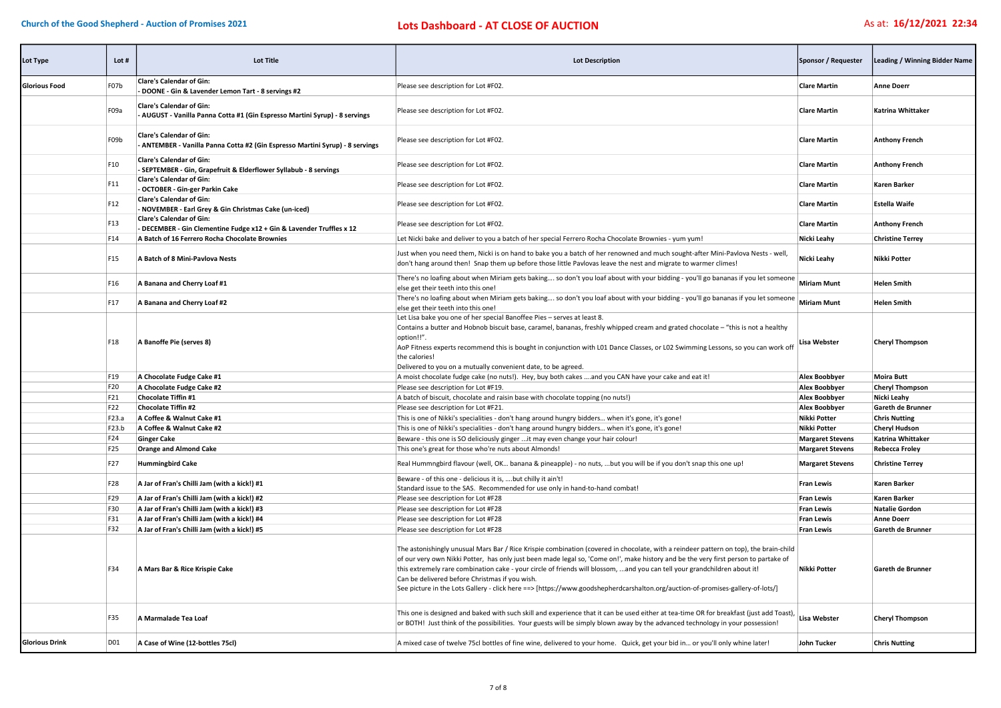| Lot Type              | Lot #             | Lot Title                                                                                                        | <b>Lot Description</b>                                                                                                                                                                                                                                                                                                                                                                                                                                                                                                                                                                        | Sponsor / Requester     | Leading / Winning Bidder Name |
|-----------------------|-------------------|------------------------------------------------------------------------------------------------------------------|-----------------------------------------------------------------------------------------------------------------------------------------------------------------------------------------------------------------------------------------------------------------------------------------------------------------------------------------------------------------------------------------------------------------------------------------------------------------------------------------------------------------------------------------------------------------------------------------------|-------------------------|-------------------------------|
| <b>Glorious Food</b>  | F07b              | <b>Clare's Calendar of Gin:</b><br>- DOONE - Gin & Lavender Lemon Tart - 8 servings #2                           | Please see description for Lot #F02.                                                                                                                                                                                                                                                                                                                                                                                                                                                                                                                                                          | <b>Clare Martin</b>     | <b>Anne Doerr</b>             |
|                       | F <sub>09</sub> a | <b>Clare's Calendar of Gin:</b><br>- AUGUST - Vanilla Panna Cotta #1 (Gin Espresso Martini Syrup) - 8 servings   | Please see description for Lot #F02.                                                                                                                                                                                                                                                                                                                                                                                                                                                                                                                                                          | <b>Clare Martin</b>     | <b>Katrina Whittaker</b>      |
|                       | F09b              | <b>Clare's Calendar of Gin:</b><br>- ANTEMBER - Vanilla Panna Cotta #2 (Gin Espresso Martini Syrup) - 8 servings | Please see description for Lot #F02.                                                                                                                                                                                                                                                                                                                                                                                                                                                                                                                                                          | <b>Clare Martin</b>     | <b>Anthony French</b>         |
|                       | F10               | <b>Clare's Calendar of Gin:</b><br>- SEPTEMBER - Gin, Grapefruit & Elderflower Syllabub - 8 servings             | Please see description for Lot #F02.                                                                                                                                                                                                                                                                                                                                                                                                                                                                                                                                                          | <b>Clare Martin</b>     | <b>Anthony French</b>         |
|                       | F11               | <b>Clare's Calendar of Gin:</b><br>- OCTOBER - Gin-ger Parkin Cake                                               | Please see description for Lot #F02.                                                                                                                                                                                                                                                                                                                                                                                                                                                                                                                                                          | <b>Clare Martin</b>     | Karen Barker                  |
|                       | F12               | <b>Clare's Calendar of Gin:</b><br>- NOVEMBER - Earl Grey & Gin Christmas Cake (un-iced)                         | Please see description for Lot #F02.                                                                                                                                                                                                                                                                                                                                                                                                                                                                                                                                                          | <b>Clare Martin</b>     | <b>Estella Waife</b>          |
|                       | F <sub>13</sub>   | <b>Clare's Calendar of Gin:</b><br>- DECEMBER - Gin Clementine Fudge x12 + Gin & Lavender Truffles x 12          | Please see description for Lot #F02.                                                                                                                                                                                                                                                                                                                                                                                                                                                                                                                                                          | <b>Clare Martin</b>     | <b>Anthony French</b>         |
|                       | F14               | A Batch of 16 Ferrero Rocha Chocolate Brownies                                                                   | Let Nicki bake and deliver to you a batch of her special Ferrero Rocha Chocolate Brownies - yum yum!                                                                                                                                                                                                                                                                                                                                                                                                                                                                                          | Nicki Leahy             | <b>Christine Terrey</b>       |
|                       | F <sub>15</sub>   | A Batch of 8 Mini-Pavlova Nests                                                                                  | Just when you need them, Nicki is on hand to bake you a batch of her renowned and much sought-after Mini-Pavlova Nests - well,<br>don't hang around then! Snap them up before those little Pavlovas leave the nest and migrate to warmer climes!                                                                                                                                                                                                                                                                                                                                              | Nicki Leahy             | Nikki Potter                  |
|                       | F <sub>16</sub>   | A Banana and Cherry Loaf #1                                                                                      | There's no loafing about when Miriam gets baking so don't you loaf about with your bidding - you'll go bananas if you let someone<br>else get their teeth into this one!                                                                                                                                                                                                                                                                                                                                                                                                                      | Miriam Munt             | <b>Helen Smith</b>            |
|                       | F <sub>17</sub>   | A Banana and Cherry Loaf #2                                                                                      | There's no loafing about when Miriam gets baking so don't you loaf about with your bidding - you'll go bananas if you let someone<br>else get their teeth into this one!                                                                                                                                                                                                                                                                                                                                                                                                                      | <b>Miriam Munt</b>      | <b>Helen Smith</b>            |
|                       | F18               | A Banoffe Pie (serves 8)                                                                                         | Let Lisa bake you one of her special Banoffee Pies - serves at least 8.<br>Contains a butter and Hobnob biscuit base, caramel, bananas, freshly whipped cream and grated chocolate - "this is not a healthy<br>option!!".<br>AoP Fitness experts recommend this is bought in conjunction with L01 Dance Classes, or L02 Swimming Lessons, so you can work off<br>the calories!<br>Delivered to you on a mutually convenient date, to be agreed.                                                                                                                                               | <b>Lisa Webster</b>     | <b>Cheryl Thompson</b>        |
|                       | F <sub>19</sub>   | A Chocolate Fudge Cake #1                                                                                        | A moist chocolate fudge cake (no nuts!). Hey, buy both cakes and you CAN have your cake and eat it!                                                                                                                                                                                                                                                                                                                                                                                                                                                                                           | <b>Alex Boobbyer</b>    | <b>Moira Butt</b>             |
|                       | F20               | A Chocolate Fudge Cake #2                                                                                        | Please see description for Lot #F19.                                                                                                                                                                                                                                                                                                                                                                                                                                                                                                                                                          | Alex Boobbyer           | <b>Cheryl Thompson</b>        |
|                       | F21               | <b>Chocolate Tiffin #1</b>                                                                                       | A batch of biscuit, chocolate and raisin base with chocolate topping (no nuts!)                                                                                                                                                                                                                                                                                                                                                                                                                                                                                                               | <b>Alex Boobbyer</b>    | Nicki Leahy                   |
|                       | F22               | <b>Chocolate Tiffin #2</b>                                                                                       | Please see description for Lot #F21.                                                                                                                                                                                                                                                                                                                                                                                                                                                                                                                                                          | <b>Alex Boobbyer</b>    | Gareth de Brunner             |
|                       | F23.a             | A Coffee & Walnut Cake #1                                                                                        | This is one of Nikki's specialities - don't hang around hungry bidders when it's gone, it's gone!                                                                                                                                                                                                                                                                                                                                                                                                                                                                                             | Nikki Potter            | <b>Chris Nutting</b>          |
|                       | F23.b             | A Coffee & Walnut Cake #2                                                                                        | This is one of Nikki's specialities - don't hang around hungry bidders when it's gone, it's gone!                                                                                                                                                                                                                                                                                                                                                                                                                                                                                             | Nikki Potter            | <b>Cheryl Hudson</b>          |
|                       | F24               | <b>Ginger Cake</b>                                                                                               | Beware - this one is SO deliciously ginger  it may even change your hair colour!                                                                                                                                                                                                                                                                                                                                                                                                                                                                                                              | <b>Margaret Stevens</b> | Katrina Whittaker             |
|                       | F25               | <b>Orange and Almond Cake</b>                                                                                    | This one's great for those who're nuts about Almonds!                                                                                                                                                                                                                                                                                                                                                                                                                                                                                                                                         | <b>Margaret Stevens</b> | <b>Rebecca Froley</b>         |
|                       | F27               | <b>Hummingbird Cake</b>                                                                                          | Real Hummngbird flavour (well, OK banana & pineapple) - no nuts, but you will be if you don't snap this one up!                                                                                                                                                                                                                                                                                                                                                                                                                                                                               | <b>Margaret Stevens</b> | <b>Christine Terrey</b>       |
|                       | F28               | A Jar of Fran's Chilli Jam (with a kick!) #1                                                                     | Beware - of this one - delicious it is, but chilly it ain't!<br>Standard issue to the SAS. Recommended for use only in hand-to-hand combat!                                                                                                                                                                                                                                                                                                                                                                                                                                                   | <b>Fran Lewis</b>       | <b>Karen Barker</b>           |
|                       | F29               | A Jar of Fran's Chilli Jam (with a kick!) #2                                                                     | Please see description for Lot #F28                                                                                                                                                                                                                                                                                                                                                                                                                                                                                                                                                           | <b>Fran Lewis</b>       | <b>Karen Barker</b>           |
|                       | F30               | A Jar of Fran's Chilli Jam (with a kick!) #3                                                                     | Please see description for Lot #F28                                                                                                                                                                                                                                                                                                                                                                                                                                                                                                                                                           | <b>Fran Lewis</b>       | <b>Natalie Gordon</b>         |
|                       | F31               | A Jar of Fran's Chilli Jam (with a kick!) #4                                                                     | Please see description for Lot #F28                                                                                                                                                                                                                                                                                                                                                                                                                                                                                                                                                           | <b>Fran Lewis</b>       | <b>Anne Doerr</b>             |
|                       | F32               | A Jar of Fran's Chilli Jam (with a kick!) #5                                                                     | Please see description for Lot #F28                                                                                                                                                                                                                                                                                                                                                                                                                                                                                                                                                           | <b>Fran Lewis</b>       | Gareth de Brunner             |
|                       | F34               | A Mars Bar & Rice Krispie Cake                                                                                   | The astonishingly unusual Mars Bar / Rice Krispie combination (covered in chocolate, with a reindeer pattern on top), the brain-child<br>of our very own Nikki Potter, has only just been made legal so, 'Come on!', make history and be the very first person to partake of<br>this extremely rare combination cake - your circle of friends will blossom, and you can tell your grandchildren about it!<br>Can be delivered before Christmas if you wish.<br>See picture in the Lots Gallery - click here ==> [https://www.goodshepherdcarshalton.org/auction-of-promises-gallery-of-lots/] | <b>Nikki Potter</b>     | <b>Gareth de Brunner</b>      |
|                       | F35               | A Marmalade Tea Loaf                                                                                             | This one is designed and baked with such skill and experience that it can be used either at tea-time OR for breakfast (just add Toast), Lisa Webster<br>or BOTH! Just think of the possibilities. Your guests will be simply blown away by the advanced technology in your possession!                                                                                                                                                                                                                                                                                                        |                         | <b>Cheryl Thompson</b>        |
| <b>Glorious Drink</b> | D01               | A Case of Wine (12-bottles 75cl)                                                                                 | A mixed case of twelve 75cl bottles of fine wine, delivered to your home. Quick, get your bid in or you'll only whine later!                                                                                                                                                                                                                                                                                                                                                                                                                                                                  | John Tucker             | <b>Chris Nutting</b>          |